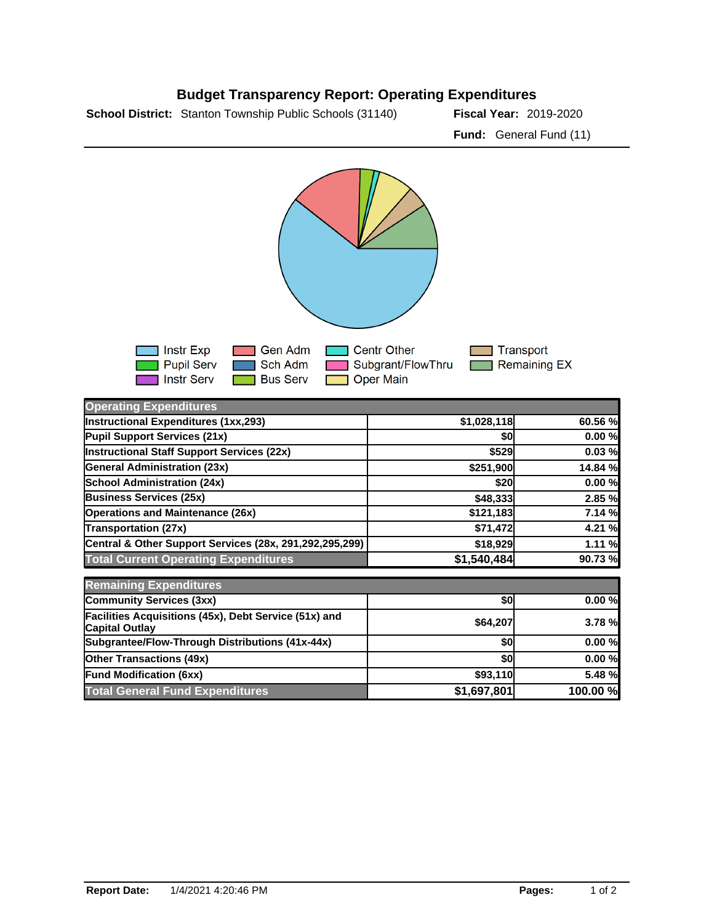



| <b>Operating Expenditures</b>                                                  |             |          |
|--------------------------------------------------------------------------------|-------------|----------|
| Instructional Expenditures (1xx,293)                                           | \$1,028,118 | 60.56 %  |
| Pupil Support Services (21x)                                                   | \$0         | 0.00%    |
| Instructional Staff Support Services (22x)                                     | \$529       | 0.03%    |
| <b>General Administration (23x)</b>                                            | \$251,900   | 14.84 %  |
| <b>School Administration (24x)</b>                                             | \$20        | 0.00%    |
| <b>Business Services (25x)</b>                                                 | \$48,333    | 2.85 %   |
| <b>Operations and Maintenance (26x)</b>                                        | \$121,183   | 7.14 %   |
| <b>Transportation (27x)</b>                                                    | \$71,472    | 4.21 %   |
| Central & Other Support Services (28x, 291,292,295,299)                        | \$18,929    | 1.11%    |
| <b>Total Current Operating Expenditures</b>                                    | \$1,540,484 | 90.73%   |
| <b>Remaining Expenditures</b>                                                  |             |          |
| Community Services (3xx)                                                       | \$0         | 0.00%    |
| Facilities Acquisitions (45x), Debt Service (51x) and<br><b>Capital Outlay</b> | \$64,207    | 3.78%    |
| Subgrantee/Flow-Through Distributions (41x-44x)                                | \$0         | 0.00%    |
| <b>Other Transactions (49x)</b>                                                | \$0         | 0.00%    |
| <b>Fund Modification (6xx)</b>                                                 | \$93,110    | 5.48 %   |
| <b>Total General Fund Expenditures</b>                                         | \$1,697,801 | 100.00 % |